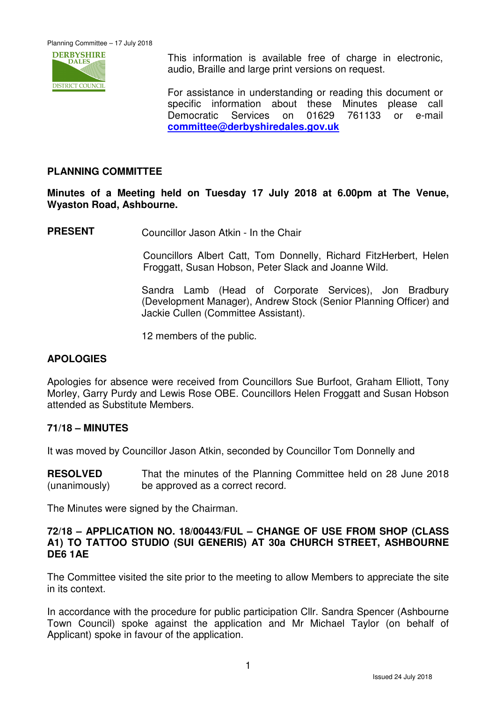

 This information is available free of charge in electronic, audio, Braille and large print versions on request.

For assistance in understanding or reading this document or specific information about these Minutes please call Democratic Services on 01629 761133 or e-mail **committee@derbyshiredales.gov.uk**

# **PLANNING COMMITTEE**

**Minutes of a Meeting held on Tuesday 17 July 2018 at 6.00pm at The Venue, Wyaston Road, Ashbourne.** 

**PRESENT** Councillor Jason Atkin - In the Chair

 Councillors Albert Catt, Tom Donnelly, Richard FitzHerbert, Helen Froggatt, Susan Hobson, Peter Slack and Joanne Wild.

Sandra Lamb (Head of Corporate Services), Jon Bradbury (Development Manager), Andrew Stock (Senior Planning Officer) and Jackie Cullen (Committee Assistant).

12 members of the public.

### **APOLOGIES**

Apologies for absence were received from Councillors Sue Burfoot, Graham Elliott, Tony Morley, Garry Purdy and Lewis Rose OBE. Councillors Helen Froggatt and Susan Hobson attended as Substitute Members.

#### **71/18 – MINUTES**

It was moved by Councillor Jason Atkin, seconded by Councillor Tom Donnelly and

**RESOLVED** (unanimously) That the minutes of the Planning Committee held on 28 June 2018 be approved as a correct record.

The Minutes were signed by the Chairman.

#### **72/18 – APPLICATION NO. 18/00443/FUL – CHANGE OF USE FROM SHOP (CLASS A1) TO TATTOO STUDIO (SUI GENERIS) AT 30a CHURCH STREET, ASHBOURNE DE6 1AE**

The Committee visited the site prior to the meeting to allow Members to appreciate the site in its context.

In accordance with the procedure for public participation Cllr. Sandra Spencer (Ashbourne Town Council) spoke against the application and Mr Michael Taylor (on behalf of Applicant) spoke in favour of the application.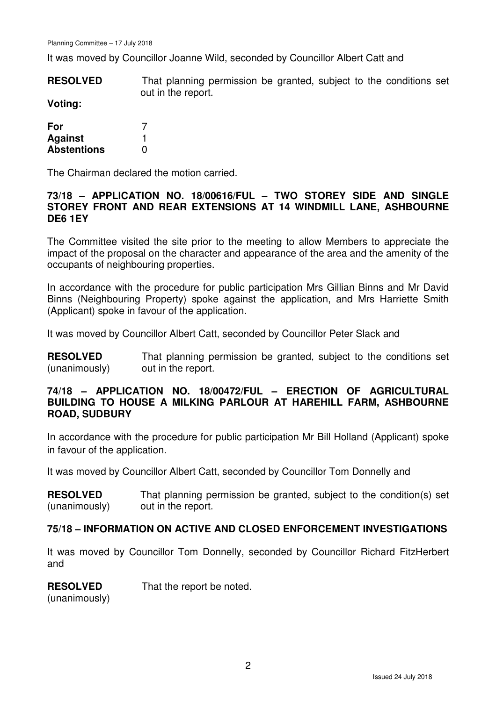It was moved by Councillor Joanne Wild, seconded by Councillor Albert Catt and

**RESOLVED** That planning permission be granted, subject to the conditions set out in the report.

**Voting:** 

| For                |   |
|--------------------|---|
| <b>Against</b>     |   |
| <b>Abstentions</b> | O |

The Chairman declared the motion carried.

### **73/18 – APPLICATION NO. 18/00616/FUL – TWO STOREY SIDE AND SINGLE STOREY FRONT AND REAR EXTENSIONS AT 14 WINDMILL LANE, ASHBOURNE DE6 1EY**

The Committee visited the site prior to the meeting to allow Members to appreciate the impact of the proposal on the character and appearance of the area and the amenity of the occupants of neighbouring properties.

In accordance with the procedure for public participation Mrs Gillian Binns and Mr David Binns (Neighbouring Property) spoke against the application, and Mrs Harriette Smith (Applicant) spoke in favour of the application.

It was moved by Councillor Albert Catt, seconded by Councillor Peter Slack and

**RESOLVED** (unanimously) That planning permission be granted, subject to the conditions set out in the report.

## **74/18 – APPLICATION NO. 18/00472/FUL – ERECTION OF AGRICULTURAL BUILDING TO HOUSE A MILKING PARLOUR AT HAREHILL FARM, ASHBOURNE ROAD, SUDBURY**

In accordance with the procedure for public participation Mr Bill Holland (Applicant) spoke in favour of the application.

It was moved by Councillor Albert Catt, seconded by Councillor Tom Donnelly and

**RESOLVED** (unanimously) That planning permission be granted, subject to the condition(s) set out in the report.

### **75/18 – INFORMATION ON ACTIVE AND CLOSED ENFORCEMENT INVESTIGATIONS**

It was moved by Councillor Tom Donnelly, seconded by Councillor Richard FitzHerbert and

#### **RESOLVED** That the report be noted.

(unanimously)